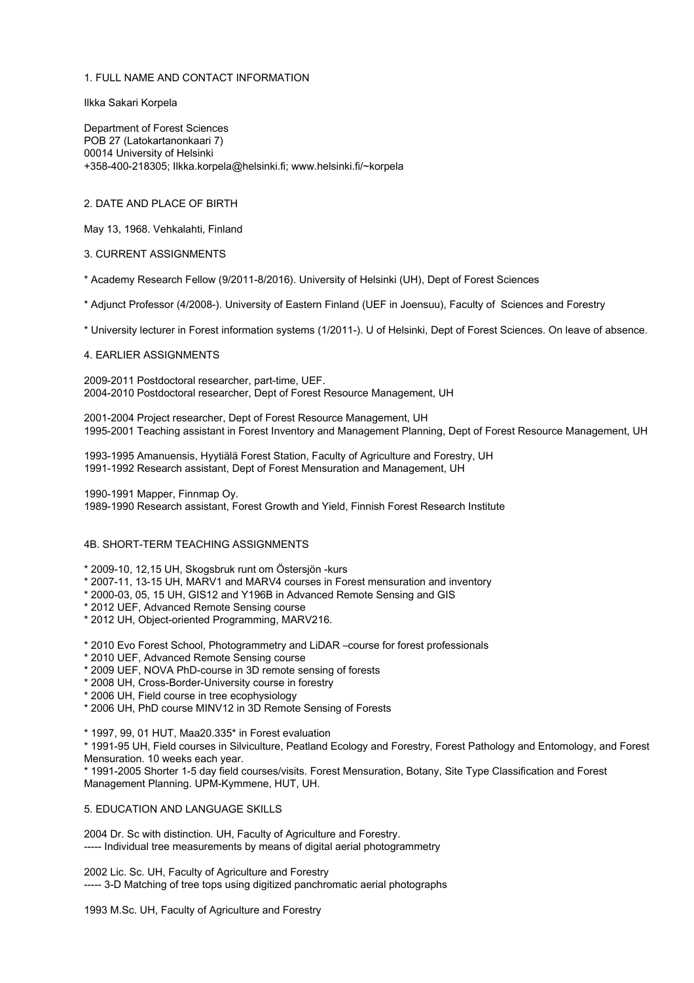# 1. FULL NAME AND CONTACT INFORMATION

Ilkka Sakari Korpela

Department of Forest Sciences POB 27 (Latokartanonkaari 7) 00014 University of Helsinki +358-400-218305; Ilkka.korpela@helsinki.fi; www.helsinki.fi/~korpela

## 2. DATE AND PLACE OF BIRTH

May 13, 1968. Vehkalahti, Finland

## 3. CURRENT ASSIGNMENTS

\* Academy Research Fellow (9/2011-8/2016). University of Helsinki (UH), Dept of Forest Sciences

\* Adjunct Professor (4/2008-). University of Eastern Finland (UEF in Joensuu), Faculty of Sciences and Forestry

\* University lecturer in Forest information systems (1/2011-). U of Helsinki, Dept of Forest Sciences. On leave of absence.

#### 4. EARLIER ASSIGNMENTS

2009-2011 Postdoctoral researcher, part-time, UEF. 2004-2010 Postdoctoral researcher, Dept of Forest Resource Management, UH

2001-2004 Project researcher, Dept of Forest Resource Management, UH 1995-2001 Teaching assistant in Forest Inventory and Management Planning, Dept of Forest Resource Management, UH

1993-1995 Amanuensis, Hyytiälä Forest Station, Faculty of Agriculture and Forestry, UH 1991-1992 Research assistant, Dept of Forest Mensuration and Management, UH

1990-1991 Mapper, Finnmap Oy.

1989-1990 Research assistant, Forest Growth and Yield, Finnish Forest Research Institute

### 4B. SHORT-TERM TEACHING ASSIGNMENTS

#### \* 2009-10, 12,15 UH, Skogsbruk runt om Östersjön -kurs

- \* 2007-11, 13-15 UH, MARV1 and MARV4 courses in Forest mensuration and inventory
- \* 2000-03, 05, 15 UH, GIS12 and Y196B in Advanced Remote Sensing and GIS
- \* 2012 UEF, Advanced Remote Sensing course
- \* 2012 UH, Object-oriented Programming, MARV216.

\* 2010 Evo Forest School, Photogrammetry and LiDAR –course for forest professionals

- \* 2010 UEF, Advanced Remote Sensing course
- \* 2009 UEF, NOVA PhD-course in 3D remote sensing of forests
- \* 2008 UH, Cross-Border-University course in forestry
- \* 2006 UH, Field course in tree ecophysiology
- \* 2006 UH, PhD course MINV12 in 3D Remote Sensing of Forests

\* 1997, 99, 01 HUT, Maa20.335\* in Forest evaluation

\* 1991-95 UH, Field courses in Silviculture, Peatland Ecology and Forestry, Forest Pathology and Entomology, and Forest Mensuration. 10 weeks each year.

\* 1991-2005 Shorter 1-5 day field courses/visits. Forest Mensuration, Botany, Site Type Classification and Forest Management Planning. UPM-Kymmene, HUT, UH.

## 5. EDUCATION AND LANGUAGE SKILLS

2004 Dr. Sc with distinction. UH, Faculty of Agriculture and Forestry. ----- Individual tree measurements by means of digital aerial photogrammetry

2002 Lic. Sc. UH, Faculty of Agriculture and Forestry ----- 3-D Matching of tree tops using digitized panchromatic aerial photographs

1993 M.Sc. UH, Faculty of Agriculture and Forestry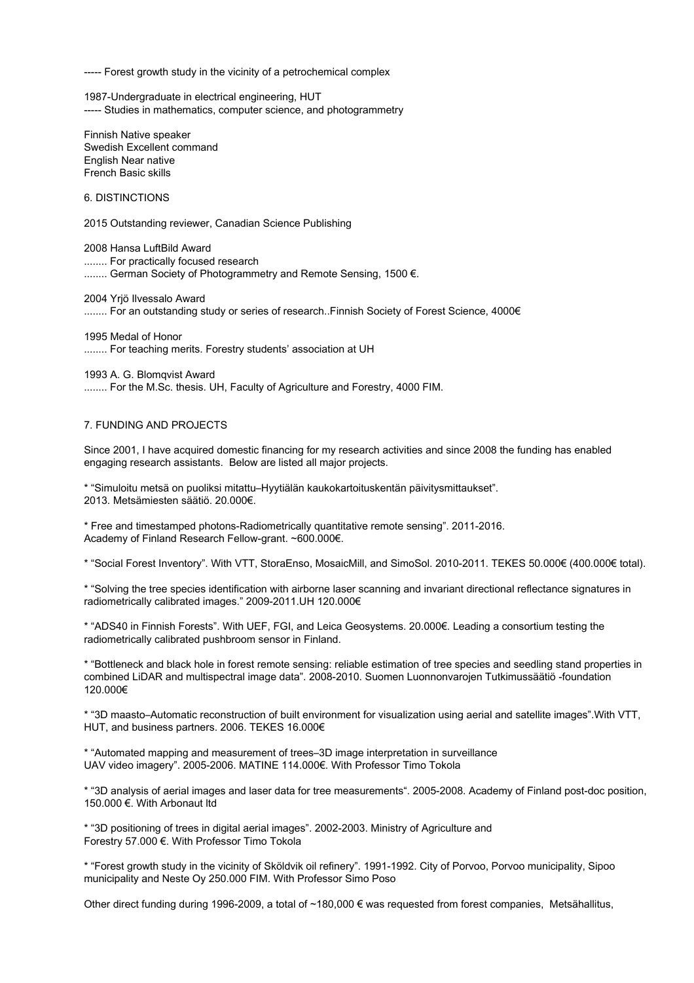----- Forest growth study in the vicinity of a petrochemical complex

1987-Undergraduate in electrical engineering, HUT ----- Studies in mathematics, computer science, and photogrammetry

Finnish Native speaker Swedish Excellent command English Near native French Basic skills

6. DISTINCTIONS

2015 Outstanding reviewer, Canadian Science Publishing

2008 Hansa LuftBild Award ........ For practically focused research ........ German Society of Photogrammetry and Remote Sensing, 1500 €.

2004 Yrjö Ilvessalo Award

........ For an outstanding study or series of research..Finnish Society of Forest Science, 4000€

1995 Medal of Honor ........ For teaching merits. Forestry students' association at UH

1993 A. G. Blomqvist Award ........ For the M.Sc. thesis. UH, Faculty of Agriculture and Forestry, 4000 FIM.

#### 7. FUNDING AND PROJECTS

Since 2001, I have acquired domestic financing for my research activities and since 2008 the funding has enabled engaging research assistants. Below are listed all major projects.

\* "Simuloitu metsä on puoliksi mitattu–Hyytiälän kaukokartoituskentän päivitysmittaukset". 2013. Metsämiesten säätiö. 20.000€.

\* Free and timestamped photons-Radiometrically quantitative remote sensing". 2011-2016. Academy of Finland Research Fellow-grant. ~600.000€.

\* "Social Forest Inventory". With VTT, StoraEnso, MosaicMill, and SimoSol. 2010-2011. TEKES 50.000€ (400.000€ total).

\* "Solving the tree species identification with airborne laser scanning and invariant directional reflectance signatures in radiometrically calibrated images." 2009-2011.UH 120.000€

\* "ADS40 in Finnish Forests". With UEF, FGI, and Leica Geosystems. 20.000€. Leading a consortium testing the radiometrically calibrated pushbroom sensor in Finland.

\* "Bottleneck and black hole in forest remote sensing: reliable estimation of tree species and seedling stand properties in combined LiDAR and multispectral image data". 2008-2010. Suomen Luonnonvarojen Tutkimussäätiö -foundation 120.000€

\* "3D maasto–Automatic reconstruction of built environment for visualization using aerial and satellite images".With VTT, HUT, and business partners. 2006. TEKES 16.000€

\* "Automated mapping and measurement of trees–3D image interpretation in surveillance UAV video imagery". 2005-2006. MATINE 114.000€. With Professor Timo Tokola

\* "3D analysis of aerial images and laser data for tree measurements". 2005-2008. Academy of Finland post-doc position, 150.000 €. With Arbonaut ltd

\* "3D positioning of trees in digital aerial images". 2002-2003. Ministry of Agriculture and Forestry 57.000 €. With Professor Timo Tokola

\* "Forest growth study in the vicinity of Sköldvik oil refinery". 1991-1992. City of Porvoo, Porvoo municipality, Sipoo municipality and Neste Oy 250.000 FIM. With Professor Simo Poso

Other direct funding during 1996-2009, a total of ~180,000 € was requested from forest companies, Metsähallitus,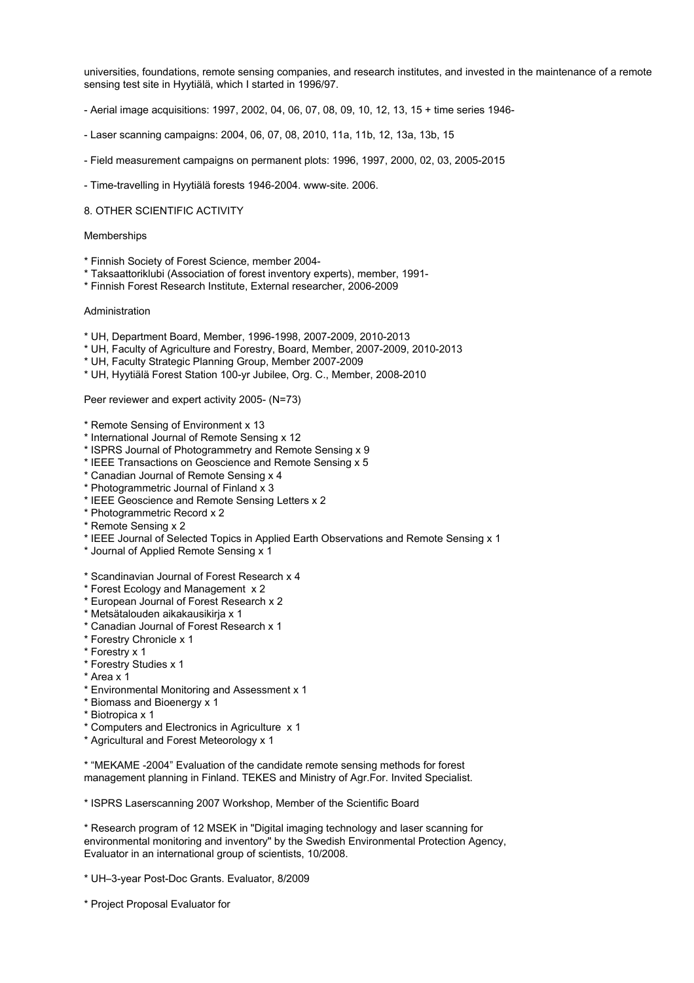universities, foundations, remote sensing companies, and research institutes, and invested in the maintenance of a remote sensing test site in Hyytiälä, which I started in 1996/97.

- Aerial image acquisitions: 1997, 2002, 04, 06, 07, 08, 09, 10, 12, 13, 15 + time series 1946-
- Laser scanning campaigns: 2004, 06, 07, 08, 2010, 11a, 11b, 12, 13a, 13b, 15
- Field measurement campaigns on permanent plots: 1996, 1997, 2000, 02, 03, 2005-2015
- Time-travelling in Hyytiälä forests 1946-2004. www-site. 2006.

## 8. OTHER SCIENTIFIC ACTIVITY

## Memberships

- \* Finnish Society of Forest Science, member 2004-
- \* Taksaattoriklubi (Association of forest inventory experts), member, 1991-
- \* Finnish Forest Research Institute, External researcher, 2006-2009

#### Administration

- \* UH, Department Board, Member, 1996-1998, 2007-2009, 2010-2013
- \* UH, Faculty of Agriculture and Forestry, Board, Member, 2007-2009, 2010-2013
- \* UH, Faculty Strategic Planning Group, Member 2007-2009
- \* UH, Hyytiälä Forest Station 100-yr Jubilee, Org. C., Member, 2008-2010

Peer reviewer and expert activity 2005- (N=73)

- \* Remote Sensing of Environment x 13
- \* International Journal of Remote Sensing x 12
- \* ISPRS Journal of Photogrammetry and Remote Sensing x 9
- \* IEEE Transactions on Geoscience and Remote Sensing x 5
- \* Canadian Journal of Remote Sensing x 4
- \* Photogrammetric Journal of Finland x 3
- \* IEEE Geoscience and Remote Sensing Letters x 2
- \* Photogrammetric Record x 2
- \* Remote Sensing x 2
- \* IEEE Journal of Selected Topics in Applied Earth Observations and Remote Sensing x 1
- \* Journal of Applied Remote Sensing x 1
- \* Scandinavian Journal of Forest Research x 4
- \* Forest Ecology and Management x 2
- \* European Journal of Forest Research x 2
- \* Metsätalouden aikakausikirja x 1
- \* Canadian Journal of Forest Research x 1
- \* Forestry Chronicle x 1
- \* Forestry x 1
- \* Forestry Studies x 1
- \* Area x 1
- \* Environmental Monitoring and Assessment x 1
- \* Biomass and Bioenergy x 1
- \* Biotropica x 1
- \* Computers and Electronics in Agriculture x 1
- \* Agricultural and Forest Meteorology x 1

\* "MEKAME -2004" Evaluation of the candidate remote sensing methods for forest management planning in Finland. TEKES and Ministry of Agr.For. Invited Specialist.

\* ISPRS Laserscanning 2007 Workshop, Member of the Scientific Board

\* Research program of 12 MSEK in "Digital imaging technology and laser scanning for environmental monitoring and inventory" by the Swedish Environmental Protection Agency, Evaluator in an international group of scientists, 10/2008.

- \* UH–3-year Post-Doc Grants. Evaluator, 8/2009
- \* Project Proposal Evaluator for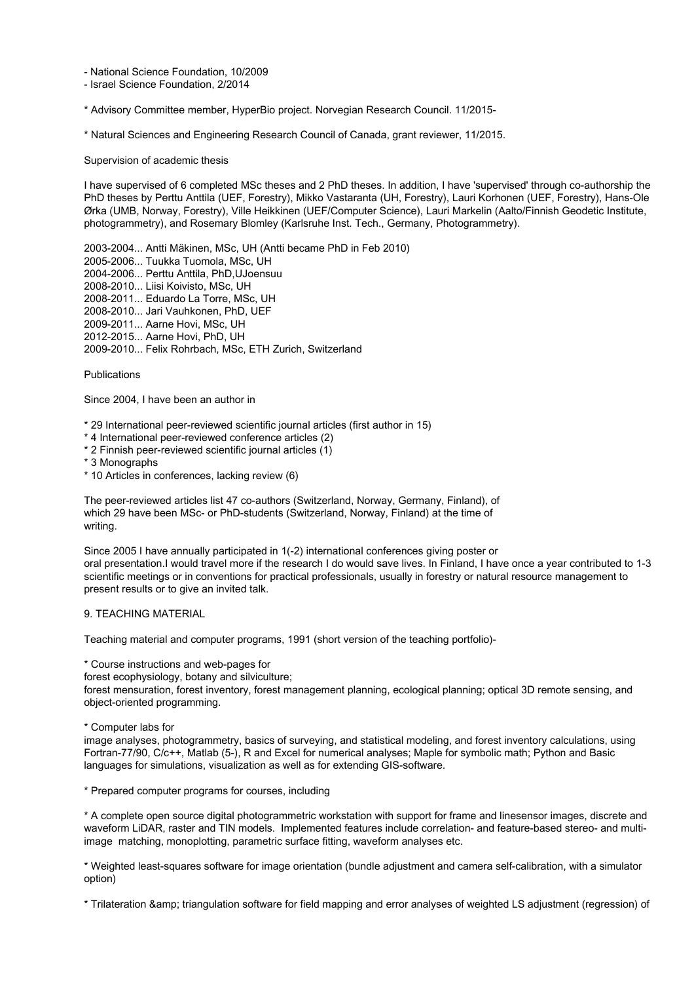- National Science Foundation, 10/2009

- Israel Science Foundation, 2/2014

\* Advisory Committee member, HyperBio project. Norvegian Research Council. 11/2015-

\* Natural Sciences and Engineering Research Council of Canada, grant reviewer, 11/2015.

Supervision of academic thesis

I have supervised of 6 completed MSc theses and 2 PhD theses. In addition, I have 'supervised' through co-authorship the PhD theses by Perttu Anttila (UEF, Forestry), Mikko Vastaranta (UH, Forestry), Lauri Korhonen (UEF, Forestry), Hans-Ole Ørka (UMB, Norway, Forestry), Ville Heikkinen (UEF/Computer Science), Lauri Markelin (Aalto/Finnish Geodetic Institute, photogrammetry), and Rosemary Blomley (Karlsruhe Inst. Tech., Germany, Photogrammetry).

2003-2004... Antti Mäkinen, MSc, UH (Antti became PhD in Feb 2010) 2005-2006... Tuukka Tuomola, MSc, UH 2004-2006... Perttu Anttila, PhD,UJoensuu 2008-2010... Liisi Koivisto, MSc, UH 2008-2011... Eduardo La Torre, MSc, UH 2008-2010... Jari Vauhkonen, PhD, UEF 2009-2011... Aarne Hovi, MSc, UH 2012-2015... Aarne Hovi, PhD, UH 2009-2010... Felix Rohrbach, MSc, ETH Zurich, Switzerland

Publications

Since 2004, I have been an author in

\* 29 International peer-reviewed scientific journal articles (first author in 15)

- \* 4 International peer-reviewed conference articles (2)
- \* 2 Finnish peer-reviewed scientific journal articles (1)
- \* 3 Monographs
- \* 10 Articles in conferences, lacking review (6)

The peer-reviewed articles list 47 co-authors (Switzerland, Norway, Germany, Finland), of which 29 have been MSc- or PhD-students (Switzerland, Norway, Finland) at the time of writing.

Since 2005 I have annually participated in 1(-2) international conferences giving poster or oral presentation.I would travel more if the research I do would save lives. In Finland, I have once a year contributed to 1-3 scientific meetings or in conventions for practical professionals, usually in forestry or natural resource management to present results or to give an invited talk.

# 9. TEACHING MATERIAL

Teaching material and computer programs, 1991 (short version of the teaching portfolio)-

\* Course instructions and web-pages for

forest ecophysiology, botany and silviculture;

forest mensuration, forest inventory, forest management planning, ecological planning; optical 3D remote sensing, and object-oriented programming.

\* Computer labs for

image analyses, photogrammetry, basics of surveying, and statistical modeling, and forest inventory calculations, using Fortran-77/90, C/c++, Matlab (5-), R and Excel for numerical analyses; Maple for symbolic math; Python and Basic languages for simulations, visualization as well as for extending GIS-software.

\* Prepared computer programs for courses, including

\* A complete open source digital photogrammetric workstation with support for frame and linesensor images, discrete and waveform LiDAR, raster and TIN models. Implemented features include correlation- and feature-based stereo- and multiimage matching, monoplotting, parametric surface fitting, waveform analyses etc.

\* Weighted least-squares software for image orientation (bundle adjustment and camera self-calibration, with a simulator option)

\* Trilateration & triangulation software for field mapping and error analyses of weighted LS adjustment (regression) of